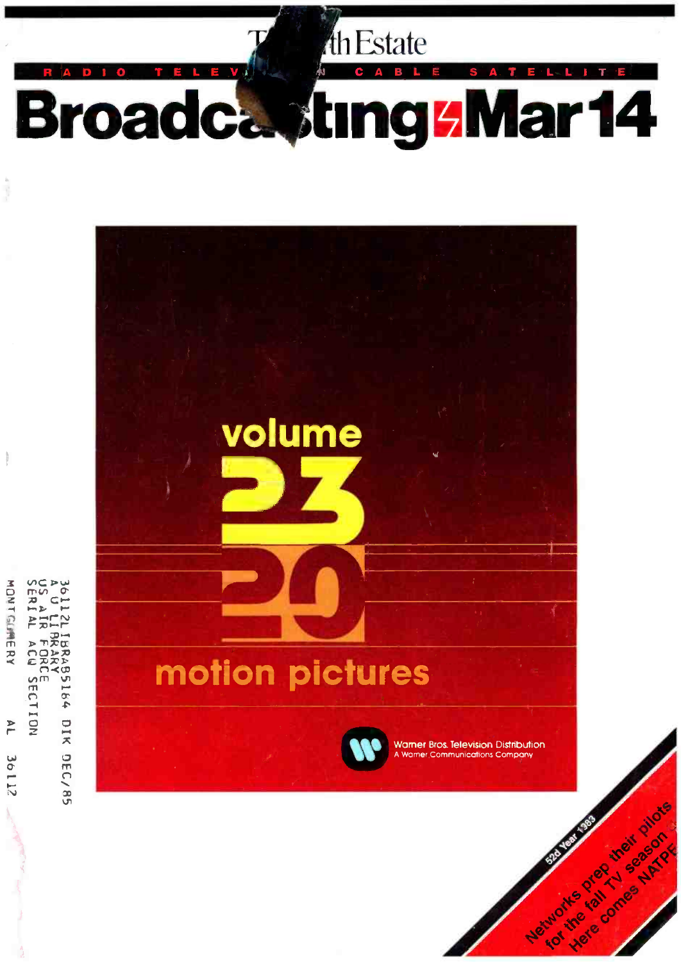

**Broadca, ting 5 Mar 14** 

th Estate



US A<br>SERI **MONTGLINERY** یب<br>Ф PH IBRABSIS4 DIK DEC/85 **FORC**<br>ACU  $\frac{1}{2}$ NOI1:  $\overline{P}$ 36112

 $\frac{1}{2}$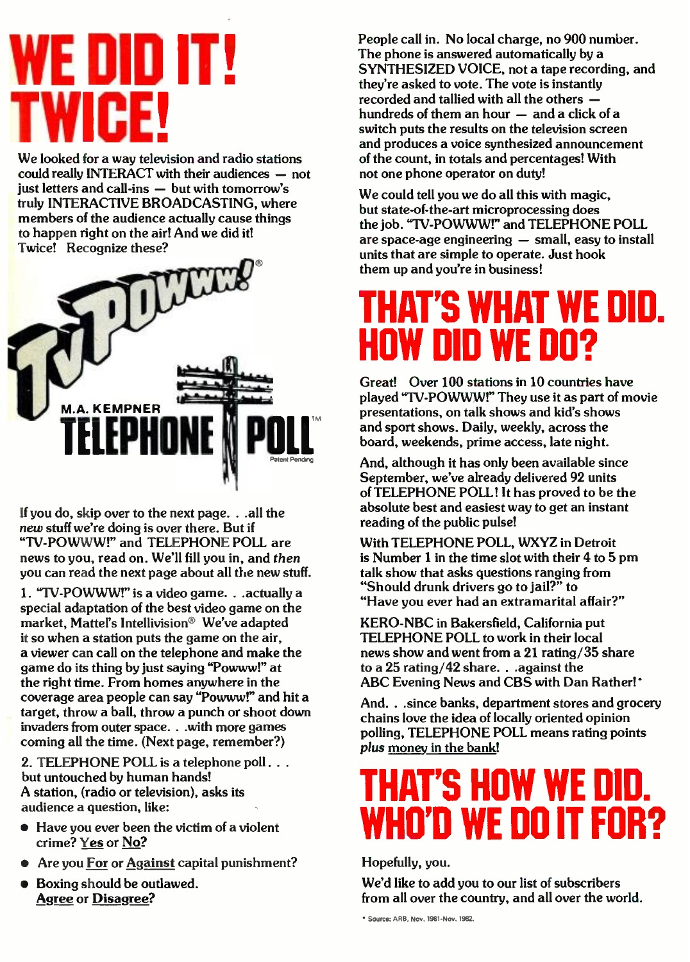# E DID IT! TWICE!

We looked for a way television and radio stations  $\text{could really INTERACT with their audiences - not}$ just letters and call-ins  $-$  but with tomorrow's truly INTERACTIVE BROADCASTING, where members of the audience actually cause things to happen right on the air! And we did it! Twice! Recognize these?



If you do, skip over to the next page. ..all the new stuff we're doing is over there. But if "TV- POWWW!" and TELEPHONE POLL are news to you, read on. We'll fill you in, and then you can read the next page about all the new stuff.

1. "TV-POWWW!" is a video game. . .actually a special adaptation of the best video game on the market, Mattel's Intellivision® We've adapted it so when a station puts the game on the air, a viewer can call on the telephone and make the game do its thing by just saying "Powww!" at the right time. From homes anywhere in the coverage area people can say "Powww!" and hit a target, throw a ball, throw a punch or shoot down invaders from outer space. ..with more games coming all the time. (Next page, remember ?)

2. TELEPHONE POLL is a telephone poll. . . but untouched by human hands! A station, (radio or television), asks its audience a question, like:

- Have you ever been the victim of a violent crime? Yes or No?
- Are you For or Against capital punishment?
- Boxing should be outlawed. Agree or Disagree?

People call in. No local charge, no 900 number. The phone is answered automatically by a SYNTHESIZED VOICE, not a tape recording, and they're asked to vote. The vote is instantly recorded and tallied with all the others  $$ hundreds of them an hour  $-$  and a click of a switch puts the results on the television screen and produces a voice synthesized announcement of the count, in totals and percentages! With not one phone operator on duty!

We could tell you we do all this with magic, but state -of- the -art microprocessing does the job. "TV-POWWW!" and TELEPHONE POLL are space-age engineering  $-$  small, easy to install units that are simple to operate. Just hook them up and you're in business!

## THAT'S WHAT WE DID. HOW DID WE DO?

Great! Over 100 stations in 10 countries have played "TV-POWWW!" They use it as part of movie presentations, on talk shows and kid's shows and sport shows. Daily, weekly, across the board, weekends, prime access, late night.

And, although it has only been available since September, we've already delivered 92 units of TELEPHONE POLL! It has proved to be the absolute best and easiest way to get an instant reading of the public pulse!

With TELEPHONE POLL, WXYZ in Detroit is Number 1 in the time slot with their 4 to 5 pm talk show that asks questions ranging from "Should drunk drivers go to jail?" to "Have you ever had an extramarital affair?"

KERO -NBC in Bakersfield, California put TELEPHONE POLL to work in their local news show and went from a 21 rating /35 share to a 25 rating/42 share. . . against the ABC Evening News and CBS with Dan Rather!

And. . . since banks, department stores and grocery chains love the idea of locally oriented opinion polling, TELEPHONE POLL means rating points plus money in the bank!

# HAT'S HOW WE DID. WHO'D WE DO IT FOR?

Hopefully, you.

We'd like to add you to our list of subscribers from all over the country, and all over the world.